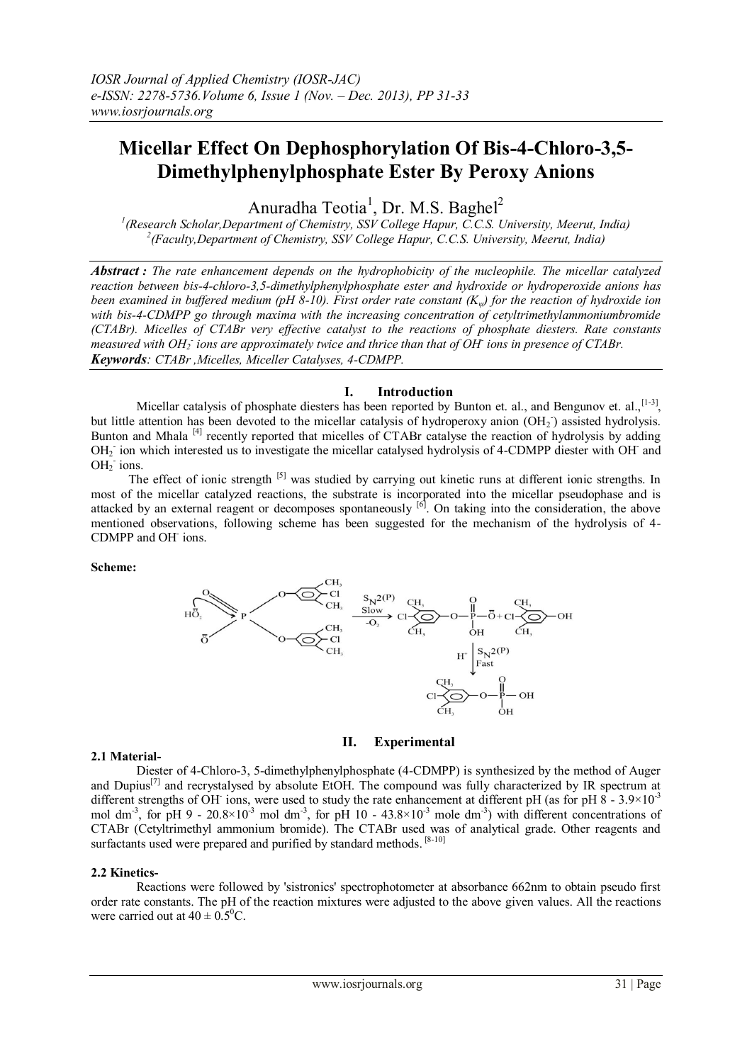# **Micellar Effect On Dephosphorylation Of Bis-4-Chloro-3,5- Dimethylphenylphosphate Ester By Peroxy Anions**

Anuradha Teotia<sup>1</sup>, Dr. M.S. Baghel<sup>2</sup>

*1 (Research Scholar,Department of Chemistry, SSV College Hapur, C.C.S. University, Meerut, India) 2 (Faculty,Department of Chemistry, SSV College Hapur, C.C.S. University, Meerut, India)*

*Abstract : The rate enhancement depends on the hydrophobicity of the nucleophile. The micellar catalyzed reaction between bis-4-chloro-3,5-dimethylphenylphosphate ester and hydroxide or hydroperoxide anions has been examined in buffered medium (pH 8-10). First order rate constant (Kψ) for the reaction of hydroxide ion with bis-4-CDMPP go through maxima with the increasing concentration of cetyltrimethylammoniumbromide (CTABr). Micelles of CTABr very effective catalyst to the reactions of phosphate diesters. Rate constants measured with OH<sup>2</sup> - ions are approximately twice and thrice than that of OH-ions in presence of CTABr. Keywords: CTABr ,Micelles, Miceller Catalyses, 4-CDMPP.*

#### **I. Introduction**

Micellar catalysis of phosphate diesters has been reported by Bunton et. al., and Bengunov et. al.,  $[1-3]$ , but little attention has been devoted to the micellar catalysis of hydroperoxy anion (OH<sub>2</sub>) assisted hydrolysis. Bunton and Mhala <sup>[4]</sup> recently reported that micelles of CTABr catalyse the reaction of hydrolysis by adding OH<sub>2</sub> ion which interested us to investigate the micellar catalysed hydrolysis of 4-CDMPP diester with OH and  $OH<sub>2</sub>$  ions.

The effect of ionic strength <sup>[5]</sup> was studied by carrying out kinetic runs at different ionic strengths. In most of the micellar catalyzed reactions, the substrate is incorporated into the micellar pseudophase and is attacked by an external reagent or decomposes spontaneously  $\left[6\right]$ . On taking into the consideration, the above mentioned observations, following scheme has been suggested for the mechanism of the hydrolysis of 4- CDMPP and OH<sup>-</sup> ions.

**Scheme:**



## **II. Experimental**

## **2.1 Material-**

Diester of 4-Chloro-3, 5-dimethylphenylphosphate (4-CDMPP) is synthesized by the method of Auger and Dupius<sup>[7]</sup> and recrystalysed by absolute EtOH. The compound was fully characterized by IR spectrum at different strengths of OH ions, were used to study the rate enhancement at different pH (as for pH 8 - 3.9×10<sup>-3</sup> mol dm<sup>-3</sup>, for pH 9 - 20.8×10<sup>-3</sup> mol dm<sup>-3</sup>, for pH 10 - 43.8×10<sup>-3</sup> mole dm<sup>-3</sup>) with different concentrations of CTABr (Cetyltrimethyl ammonium bromide). The CTABr used was of analytical grade. Other reagents and surfactants used were prepared and purified by standard methods.<sup>[8-10]</sup>

## **2.2 Kinetics-**

Reactions were followed by 'sistronics' spectrophotometer at absorbance 662nm to obtain pseudo first order rate constants. The pH of the reaction mixtures were adjusted to the above given values. All the reactions were carried out at  $40 \pm 0.5^{\circ}$ C.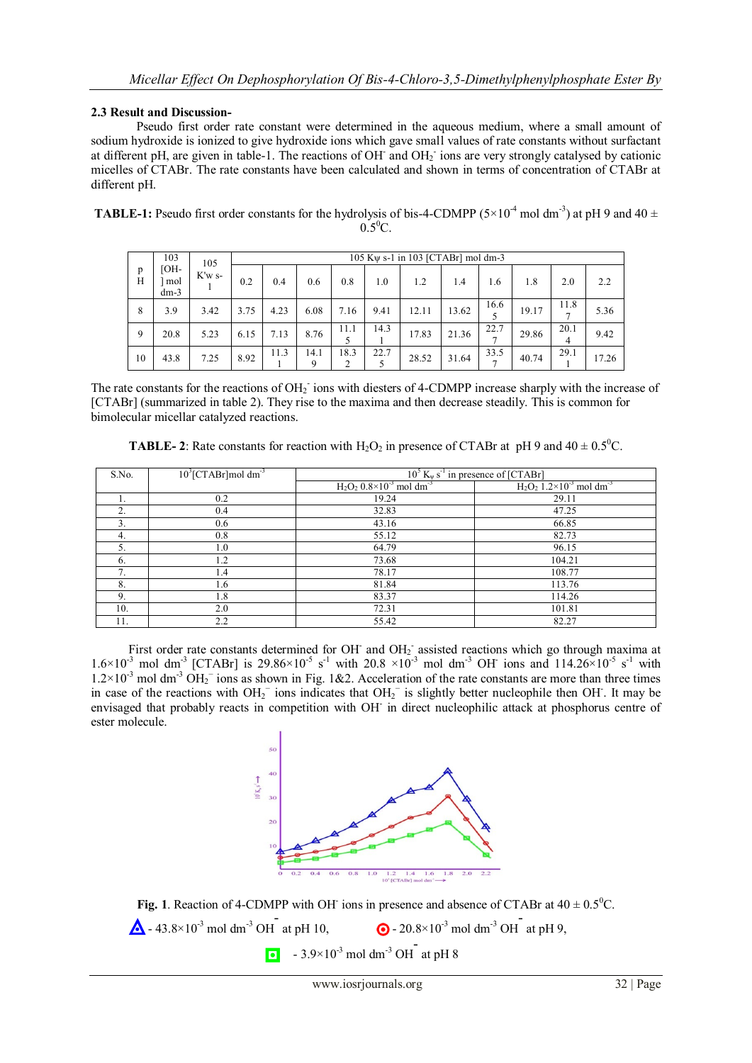# **2.3 Result and Discussion-**

Pseudo first order rate constant were determined in the aqueous medium, where a small amount of sodium hydroxide is ionized to give hydroxide ions which gave small values of rate constants without surfactant at different pH, are given in table-1. The reactions of OH and OH<sub>2</sub> ions are very strongly catalysed by cationic micelles of CTABr. The rate constants have been calculated and shown in terms of concentration of CTABr at different pH.

| <b>TABLE-1:</b> Pseudo first order constants for the hydrolysis of bis-4-CDMPP ( $5 \times 10^{-4}$ mol dm <sup>-3</sup> ) at pH 9 and 40 $\pm$ |  |
|-------------------------------------------------------------------------------------------------------------------------------------------------|--|
| $0.5^{\circ}C$ .                                                                                                                                |  |

|        | 103                          | 105      | 105 K $\psi$ s-1 in 103 [CTABr] mol dm-3 |      |           |      |      |       |       |      |       |           |       |
|--------|------------------------------|----------|------------------------------------------|------|-----------|------|------|-------|-------|------|-------|-----------|-------|
| p<br>H | <b>TOH-</b><br>mol<br>$dm-3$ | $K'w$ s- | 0.2                                      | 0.4  | 0.6       | 0.8  | 1.0  | 1.2   | 1.4   | 1.6  | 1.8   | 2.0       | 2.2   |
| 8      | 3.9                          | 3.42     | 3.75                                     | 4.23 | 6.08      | 7.16 | 9.41 | 12.11 | 13.62 | 16.6 | 19.17 | 11.8      | 5.36  |
| 9      | 20.8                         | 5.23     | 6.15                                     | 7.13 | 8.76      | 11.1 | 14.3 | 17.83 | 21.36 | 22.7 | 29.86 | 20.1<br>4 | 9.42  |
| 10     | 43.8                         | 7.25     | 8.92                                     | 11.3 | 14.1<br>Q | 18.3 | 22.7 | 28.52 | 31.64 | 33.5 | 40.74 | 29.1      | 17.26 |

The rate constants for the reactions of  $OH<sub>2</sub>$  ions with diesters of 4-CDMPP increase sharply with the increase of [CTABr] (summarized in table 2). They rise to the maxima and then decrease steadily. This is common for bimolecular micellar catalyzed reactions.

**TABLE-2**: Rate constants for reaction with  $H_2O_2$  in presence of CTABr at pH 9 and  $40 \pm 0.5^{\circ}C$ .

| S.No.         | $10^{3}$ [CTABr]mol dm <sup>-3</sup> | $10^5$ K <sub>w</sub> s <sup>-1</sup> in presence of [CTABr] |                                                    |  |  |  |  |
|---------------|--------------------------------------|--------------------------------------------------------------|----------------------------------------------------|--|--|--|--|
|               |                                      | $H_2O_2$ 0.8×10 <sup>-3</sup> mol dm <sup>-3</sup>           | $H_2O_2$ 1.2×10 <sup>-3</sup> mol dm <sup>-3</sup> |  |  |  |  |
|               | 0.2                                  | 19.24                                                        | 29.11                                              |  |  |  |  |
| 2.            | 0.4                                  | 32.83                                                        | 47.25                                              |  |  |  |  |
| 3.            | 0.6                                  | 43.16                                                        | 66.85                                              |  |  |  |  |
| 4.            | 0.8                                  | 55.12                                                        | 82.73                                              |  |  |  |  |
| 5.            | 1.0                                  | 64.79                                                        | 96.15                                              |  |  |  |  |
| 6.            | 1.2                                  | 73.68                                                        | 104.21                                             |  |  |  |  |
| $\mathcal{I}$ | 1.4                                  | 78.17                                                        | 108.77                                             |  |  |  |  |
| 8.            | 1.6                                  | 81.84                                                        | 113.76                                             |  |  |  |  |
| 9.            | 1.8                                  | 83.37                                                        | 114.26                                             |  |  |  |  |
| 10.           | 2.0                                  | 72.31                                                        | 101.81                                             |  |  |  |  |
| 11.           | 2.2                                  | 55.42                                                        | 82.27                                              |  |  |  |  |

First order rate constants determined for OH and OH<sub>2</sub> assisted reactions which go through maxima at  $1.6\times10^{-3}$  mol dm<sup>-3</sup> [CTABr] is 29.86 $\times10^{-5}$  s<sup>-1</sup> with 20.8  $\times10^{-3}$  mol dm<sup>-3</sup> OH ions and 114.26 $\times10^{-5}$  s<sup>-1</sup> with  $1.2 \times 10^{-3}$  mol dm<sup>-3</sup> OH<sub>2</sub><sup>-</sup> ions as shown in Fig. 1&2. Acceleration of the rate constants are more than three times in case of the reactions with  $OH_2^-$  ions indicates that  $OH_2^-$  is slightly better nucleophile then OH. It may be envisaged that probably reacts in competition with OH<sup>-</sup> in direct nucleophilic attack at phosphorus centre of ester molecule.



Fig. 1. Reaction of 4-CDMPP with OH ions in presence and absence of CTABr at  $40 \pm 0.5^{\circ}$ C.  $\triangle$  - 43.8×10<sup>-3</sup> mol dm<sup>-3</sup> OH

at pH 10,  $\bullet$  - 20.8×10<sup>-3</sup> mol dm<sup>-3</sup> OH at pH 9,

 $-3.9\times10^{-3}$  mol dm<sup>-3</sup> OH at pH 8